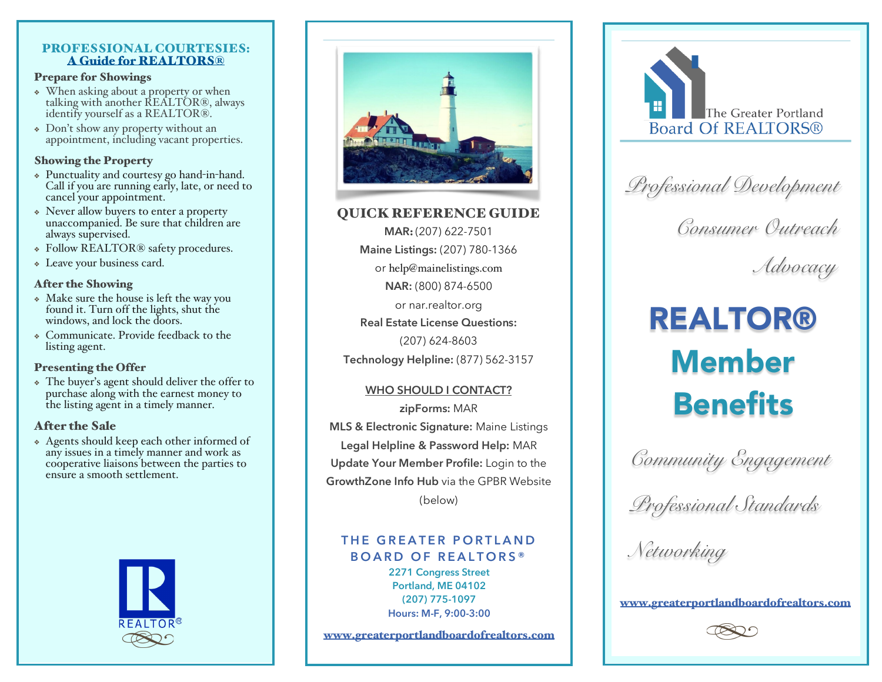### PROFESSIONAL COURTESIES:<br>A Guide for REALTORS®

#### Prepare for Showings

- ❖ When asking about a property or when identify yourself as a REALTOR®.
- ❖ Don't show any property without an appointment, including vacant properties.

#### Showing the Property

- ❖ Punctuality and courtesy go hand-in-hand. Call if you are running early, late, or need to cancel your appointment.
- ❖ Never allow buyers to enter a property unaccompanied. Be sure that children are always supervised.
- ❖ Follow REALTOR® safety procedures.
- ❖ Leave your business card.

#### After the Showing

- ❖ Make sure the house is left the way you found it. Turn off the lights, shut the windows, and lock the doors.
- ❖ Communicate. Provide feedback to the listing agent.

#### Presenting the Offer

❖ The buyer's agent should deliver the offer to purchase along with the earnest money to the listing agent in a timely manner.

#### After the Sale

❖ Agents should keep each other informed of any issues in a timely manner and work as cooperative liaisons between the parties to ensure a smooth settlement.





#### QUICK REFERENCE GUIDE

**MAR**: (207) 622-7501 **Maine Listings:** (207) 780-1366 or help@mainelistings.com **NAR:** (800) 874-6500 or nar.realtor.org **Real Estate License Questions:** (207) 624-8603 **Technology Helpline:** (877) 562-3157

#### **WHO SHOULD I CONTACT?**

**zipForms:** MAR **MLS & Electronic Signature:** Maine Listings **Legal Helpline & Password Help:** MAR **Update Your Member Profile:** Login to the **GrowthZone Info Hub** via the GPBR Website (below)

#### **THE GREATER PORTLAND BOARD OF REALTORS®**

**2271 Congress Street Portland, ME 04102 (207) 775-1097 Hours: M-F, 9:00-3:00**

www.greaterportlandboardofrealtors.com



 *Professional Development*

 *Consumer Outreach*

 *Advocacy*

# REALTOR® Member **Benefits**

 *Community Engagement*

 *Professional Standards*

 *Networking*

www.greaterportlandboardofrealtors.com